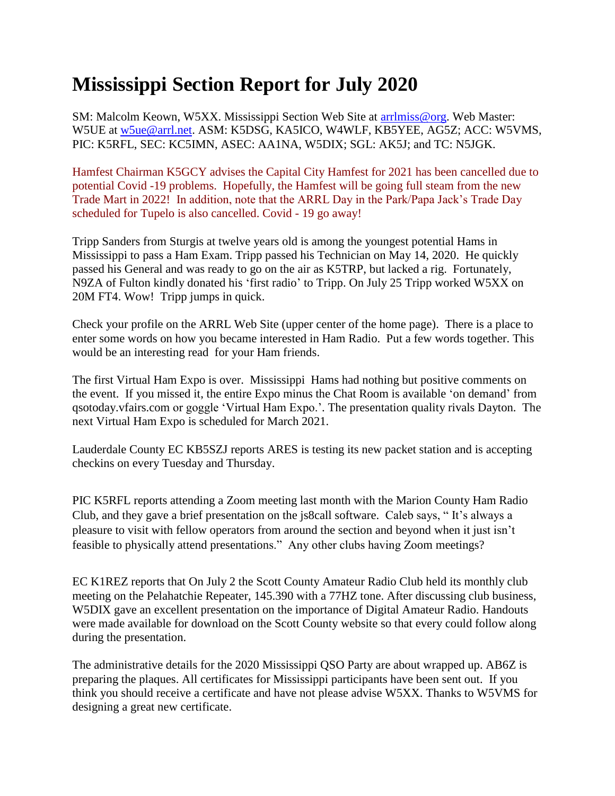## **Mississippi Section Report for July 2020**

SM: Malcolm Keown, W5XX. Mississippi Section Web Site at [arrlmiss@org.](mailto:arrlmiss@org) Web Master: W5UE at [w5ue@arrl.net.](mailto:w5ue@arrl.net) ASM: K5DSG, KA5ICO, W4WLF, KB5YEE, AG5Z; ACC: W5VMS, PIC: K5RFL, SEC: KC5IMN, ASEC: AA1NA, W5DIX; SGL: AK5J; and TC: N5JGK.

Hamfest Chairman K5GCY advises the Capital City Hamfest for 2021 has been cancelled due to potential Covid -19 problems. Hopefully, the Hamfest will be going full steam from the new Trade Mart in 2022! In addition, note that the ARRL Day in the Park/Papa Jack's Trade Day scheduled for Tupelo is also cancelled. Covid - 19 go away!

Tripp Sanders from Sturgis at twelve years old is among the youngest potential Hams in Mississippi to pass a Ham Exam. Tripp passed his Technician on May 14, 2020. He quickly passed his General and was ready to go on the air as K5TRP, but lacked a rig. Fortunately, N9ZA of Fulton kindly donated his 'first radio' to Tripp. On July 25 Tripp worked W5XX on 20M FT4. Wow! Tripp jumps in quick.

Check your profile on the ARRL Web Site (upper center of the home page). There is a place to enter some words on how you became interested in Ham Radio. Put a few words together. This would be an interesting read for your Ham friends.

The first Virtual Ham Expo is over. Mississippi Hams had nothing but positive comments on the event. If you missed it, the entire Expo minus the Chat Room is available 'on demand' from qsotoday.vfairs.com or goggle 'Virtual Ham Expo.'. The presentation quality rivals Dayton. The next Virtual Ham Expo is scheduled for March 2021.

Lauderdale County EC KB5SZJ reports ARES is testing its new packet station and is accepting checkins on every Tuesday and Thursday.

PIC K5RFL reports attending a Zoom meeting last month with the Marion County Ham Radio Club, and they gave a brief presentation on the js8call software. Caleb says, " It's always a pleasure to visit with fellow operators from around the section and beyond when it just isn't feasible to physically attend presentations." Any other clubs having Zoom meetings?

EC K1REZ reports that On July 2 the Scott County Amateur Radio Club held its monthly club meeting on the Pelahatchie Repeater, 145.390 with a 77HZ tone. After discussing club business, W5DIX gave an excellent presentation on the importance of Digital Amateur Radio. Handouts were made available for download on the Scott County website so that every could follow along during the presentation.

The administrative details for the 2020 Mississippi QSO Party are about wrapped up. AB6Z is preparing the plaques. All certificates for Mississippi participants have been sent out. If you think you should receive a certificate and have not please advise W5XX. Thanks to W5VMS for designing a great new certificate.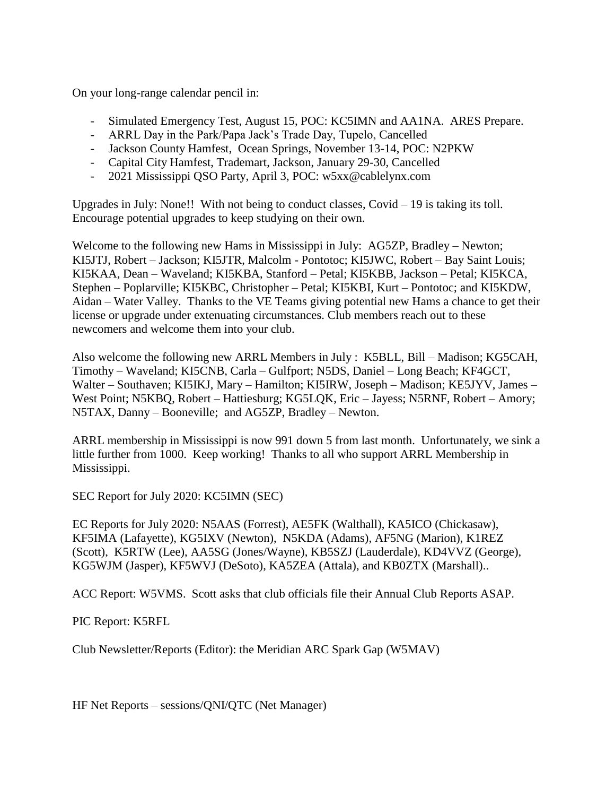On your long-range calendar pencil in:

- Simulated Emergency Test, August 15, POC: KC5IMN and AA1NA. ARES Prepare.
- ARRL Day in the Park/Papa Jack's Trade Day, Tupelo, Cancelled
- Jackson County Hamfest, Ocean Springs, November 13-14, POC: N2PKW
- Capital City Hamfest, Trademart, Jackson, January 29-30, Cancelled
- 2021 Mississippi QSO Party, April 3, POC: w5xx@cablelynx.com

Upgrades in July: None!! With not being to conduct classes, Covid – 19 is taking its toll. Encourage potential upgrades to keep studying on their own.

Welcome to the following new Hams in Mississippi in July: AG5ZP, Bradley – Newton; KI5JTJ, Robert – Jackson; KI5JTR, Malcolm - Pontotoc; KI5JWC, Robert – Bay Saint Louis; KI5KAA, Dean – Waveland; KI5KBA, Stanford – Petal; KI5KBB, Jackson – Petal; KI5KCA, Stephen – Poplarville; KI5KBC, Christopher – Petal; KI5KBI, Kurt – Pontotoc; and KI5KDW, Aidan – Water Valley. Thanks to the VE Teams giving potential new Hams a chance to get their license or upgrade under extenuating circumstances. Club members reach out to these newcomers and welcome them into your club.

Also welcome the following new ARRL Members in July : K5BLL, Bill – Madison; KG5CAH, Timothy – Waveland; KI5CNB, Carla – Gulfport; N5DS, Daniel – Long Beach; KF4GCT, Walter – Southaven; KI5IKJ, Mary – Hamilton; KI5IRW, Joseph – Madison; KE5JYV, James – West Point; N5KBQ, Robert – Hattiesburg; KG5LQK, Eric – Jayess; N5RNF, Robert – Amory; N5TAX, Danny – Booneville; and AG5ZP, Bradley – Newton.

ARRL membership in Mississippi is now 991 down 5 from last month. Unfortunately, we sink a little further from 1000. Keep working! Thanks to all who support ARRL Membership in Mississippi.

SEC Report for July 2020: KC5IMN (SEC)

EC Reports for July 2020: N5AAS (Forrest), AE5FK (Walthall), KA5ICO (Chickasaw), KF5IMA (Lafayette), KG5IXV (Newton), N5KDA (Adams), AF5NG (Marion), K1REZ (Scott), K5RTW (Lee), AA5SG (Jones/Wayne), KB5SZJ (Lauderdale), KD4VVZ (George), KG5WJM (Jasper), KF5WVJ (DeSoto), KA5ZEA (Attala), and KB0ZTX (Marshall)..

ACC Report: W5VMS. Scott asks that club officials file their Annual Club Reports ASAP.

PIC Report: K5RFL

Club Newsletter/Reports (Editor): the Meridian ARC Spark Gap (W5MAV)

HF Net Reports – sessions/QNI/QTC (Net Manager)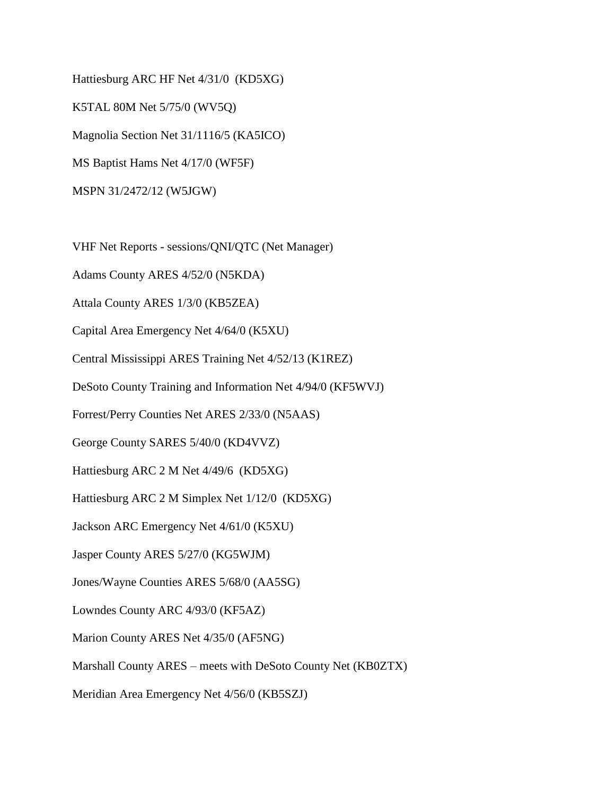Hattiesburg ARC HF Net 4/31/0 (KD5XG) K5TAL 80M Net 5/75/0 (WV5Q) Magnolia Section Net 31/1116/5 (KA5ICO) MS Baptist Hams Net 4/17/0 (WF5F) MSPN 31/2472/12 (W5JGW)

VHF Net Reports - sessions/QNI/QTC (Net Manager)

Adams County ARES 4/52/0 (N5KDA)

Attala County ARES 1/3/0 (KB5ZEA)

Capital Area Emergency Net 4/64/0 (K5XU)

Central Mississippi ARES Training Net 4/52/13 (K1REZ)

DeSoto County Training and Information Net 4/94/0 (KF5WVJ)

Forrest/Perry Counties Net ARES 2/33/0 (N5AAS)

George County SARES 5/40/0 (KD4VVZ)

Hattiesburg ARC 2 M Net 4/49/6 (KD5XG)

Hattiesburg ARC 2 M Simplex Net 1/12/0 (KD5XG)

Jackson ARC Emergency Net 4/61/0 (K5XU)

Jasper County ARES 5/27/0 (KG5WJM)

Jones/Wayne Counties ARES 5/68/0 (AA5SG)

Lowndes County ARC 4/93/0 (KF5AZ)

Marion County ARES Net 4/35/0 (AF5NG)

Marshall County ARES – meets with DeSoto County Net (KB0ZTX)

Meridian Area Emergency Net 4/56/0 (KB5SZJ)